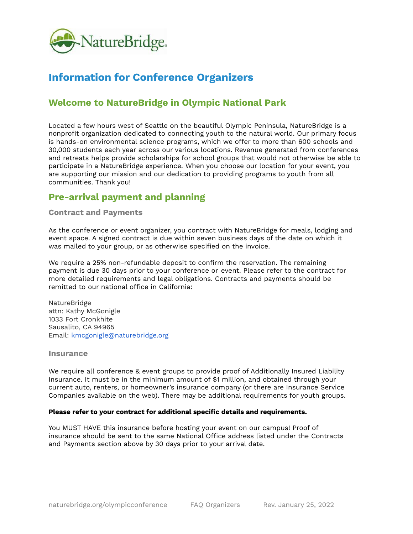

# **Information for Conference Organizers**

# **Welcome to NatureBridge in Olympic National Park**

Located a few hours west of Seattle on the beautiful Olympic Peninsula, NatureBridge is a nonprofit organization dedicated to connecting youth to the natural world. Our primary focus is hands-on environmental science programs, which we offer to more than 600 schools and 30,000 students each year across our various locations. Revenue generated from conferences and retreats helps provide scholarships for school groups that would not otherwise be able to participate in a NatureBridge experience. When you choose our location for your event, you are supporting our mission and our dedication to providing programs to youth from all communities. Thank you!

# **Pre-arrival payment and planning**

### **Contract and Payments**

As the conference or event organizer, you contract with NatureBridge for meals, lodging and event space. A signed contract is due within seven business days of the date on which it was mailed to your group, or as otherwise specified on the invoice.

We require a 25% non-refundable deposit to confirm the reservation. The remaining payment is due 30 days prior to your conference or event. Please refer to the contract for more detailed requirements and legal obligations. Contracts and payments should be remitted to our national office in California:

NatureBridge attn: Kathy McGonigle 1033 Fort Cronkhite Sausalito, CA 94965 Email: kmcgonigle@naturebridge.org

### **Insurance**

We require all conference & event groups to provide proof of Additionally Insured Liability Insurance. It must be in the minimum amount of \$1 million, and obtained through your current auto, renters, or homeowner's insurance company (or there are Insurance Service Companies available on the web). There may be additional requirements for youth groups.

#### **Please refer to your contract for additional specific details and requirements.**

You MUST HAVE this insurance before hosting your event on our campus! Proof of insurance should be sent to the same National Office address listed under the Contracts and Payments section above by 30 days prior to your arrival date.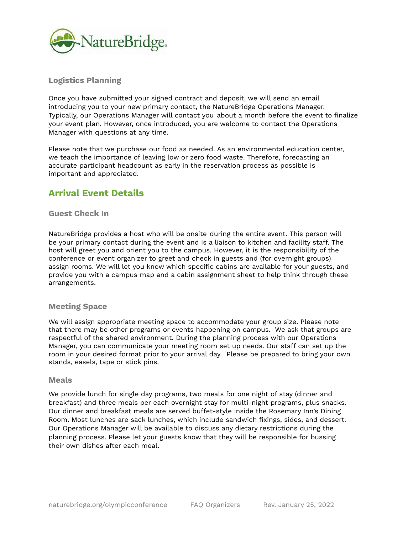

# **Logistics Planning**

Once you have submitted your signed contract and deposit, we will send an email introducing you to your new primary contact, the NatureBridge Operations Manager. Typically, our Operations Manager will contact you about a month before the event to finalize your event plan. However, once introduced, you are welcome to contact the Operations Manager with questions at any time.

Please note that we purchase our food as needed. As an environmental education center, we teach the importance of leaving low or zero food waste. Therefore, forecasting an accurate participant headcount as early in the reservation process as possible is important and appreciated.

# **Arrival Event Details**

### **Guest Check In**

NatureBridge provides a host who will be onsite during the entire event. This person will be your primary contact during the event and is a liaison to kitchen and facility staff. The host will greet you and orient you to the campus. However, it is the responsibility of the conference or event organizer to greet and check in guests and (for overnight groups) assign rooms. We will let you know which specific cabins are available for your guests, and provide you with a campus map and a cabin assignment sheet to help think through these arrangements.

### **Meeting Space**

We will assign appropriate meeting space to accommodate your group size. Please note that there may be other programs or events happening on campus. We ask that groups are respectful of the shared environment. During the planning process with our Operations Manager, you can communicate your meeting room set up needs. Our staff can set up the room in your desired format prior to your arrival day. Please be prepared to bring your own stands, easels, tape or stick pins.

#### **Meals**

We provide lunch for single day programs, two meals for one night of stay (dinner and breakfast) and three meals per each overnight stay for multi-night programs, plus snacks. Our dinner and breakfast meals are served buffet-style inside the Rosemary Inn's Dining Room. Most lunches are sack lunches, which include sandwich fixings, sides, and dessert. Our Operations Manager will be available to discuss any dietary restrictions during the planning process. Please let your guests know that they will be responsible for bussing their own dishes after each meal.